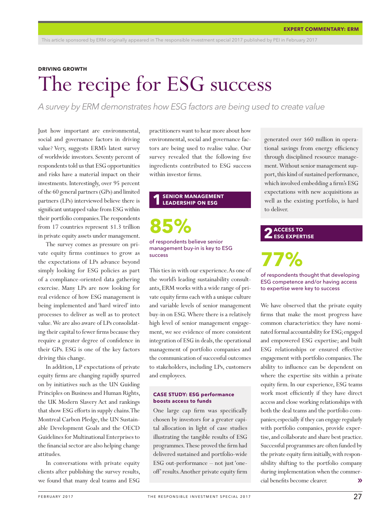#### **DRIVING GROWTH**

# The recipe for ESG success

*A survey by ERM demonstrates how ESG factors are being used to create value* 

Just how important are environmental, social and governance factors in driving value? Very, suggests ERM's latest survey of worldwide investors. Seventy percent of respondents told us that ESG opportunities and risks have a material impact on their investments. Interestingly, over 95 percent of the 60 general partners (GPs) and limited partners (LPs) interviewed believe there is significant untapped value from ESG within their portfolio companies. The respondents from 17 countries represent \$1.3 trillion in private equity assets under management.

The survey comes as pressure on private equity firms continues to grow as the expectations of LPs advance beyond simply looking for ESG policies as part of a compliance-oriented data gathering exercise. Many LPs are now looking for real evidence of how ESG management is being implemented and 'hard wired' into processes to deliver as well as to protect value. We are also aware of LPs consolidating their capital to fewer firms because they require a greater degree of confidence in their GPs. ESG is one of the key factors driving this change.

In addition, LP expectations of private equity firms are changing rapidly spurred on by initiatives such as the UN Guiding Principles on Business and Human Rights, the UK Modern Slavery Act and rankings that show ESG efforts in supply chains. The Montreal Carbon Pledge, the UN Sustainable Development Goals and the OECD Guidelines for Multinational Enterprises to the financial sector are also helping change attitudes.

In conversations with private equity clients after publishing the survey results, we found that many deal teams and ESG

practitioners want to hear more about how environmental, social and governance factors are being used to realise value. Our survey revealed that the following five ingredients contributed to ESG success within investor firms.

#### **1 SENIOR MANAGEMENT LEADERSHIP ON ESG**

**85%** of respondents believe senior management buy-in is key to ESG

success This ties in with our experience. As one of the world's leading sustainability consultants, ERM works with a wide range of private equity firms each with a unique culture and variable levels of senior management buy-in on ESG. Where there is a relatively high level of senior management engagement, we see evidence of more consistent integration of ESG in deals, the operational management of portfolio companies and the communication of successful outcomes to stakeholders, including LPs, customers and employees.

#### **CASE STUDY: ESG performance boosts access to funds**

One large cap firm was specifically chosen by investors for a greater capital allocation in light of case studies illustrating the tangible results of ESG programmes. These proved the firm had delivered sustained and portfolio-wide ESG out-performance – not just 'oneoff' results. Another private equity firm generated over \$60 million in operational savings from energy efficiency through disciplined resource management. Without senior management support, this kind of sustained performance, which involved embedding a firm's ESG expectations with new acquisitions as well as the existing portfolio, is hard to deliver.

### **2 ACCESS TO ESG EXPERTISE**

of respondents thought that developing ESG competence and/or having access to expertise were key to success

We have observed that the private equity firms that make the most progress have common characteristics: they have nominated formal accountability for ESG; engaged and empowered ESG expertise; and built ESG relationships or ensured effective engagement with portfolio companies. The ability to influence can be dependent on where the expertise sits within a private equity firm. In our experience, ESG teams work most efficiently if they have direct access and close working relationships with both the deal teams and the portfolio companies; especially if they can engage regularly with portfolio companies, provide expertise, and collaborate and share best practice. Successful programmes are often funded by the private equity firm initially, with responsibility shifting to the portfolio company during implementation when the commercial benefits become clearer. ››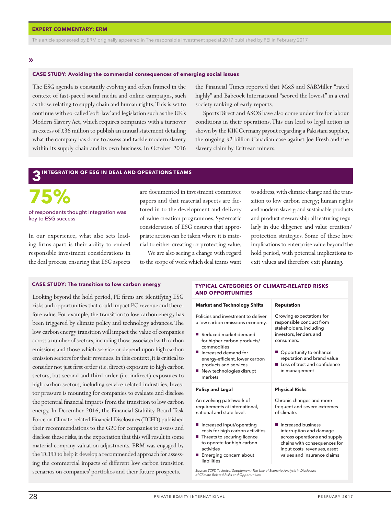This article sponsored by ERM originally appeared in The responsible investment special 2017 published by PEI in February 2017

#### ››

#### **CASE STUDY: Avoiding the commercial consequences of emerging social issues**

The ESG agenda is constantly evolving and often framed in the context of fast-paced social media and online campaigns, such as those relating to supply chain and human rights. This is set to continue with so-called 'soft-law' and legislation such as the UK's Modern Slavery Act, which requires companies with a turnover in excess of £36 million to publish an annual statement detailing what the company has done to assess and tackle modern slavery within its supply chain and its own business. In October 2016 the Financial Times reported that M&S and SABMiller "rated highly" and Babcock International "scored the lowest" in a civil society ranking of early reports.

SportsDirect and ASOS have also come under fire for labour conditions in their operations. This can lead to legal action as shown by the KIK Germany payout regarding a Pakistani supplier, the ongoing \$2 billion Canadian case against Joe Fresh and the slavery claim by Eritrean miners.

### **3** INTEGRATION OF ESG IN DEAL AND OPERATIONS TEAMS

# **75%**

#### of respondents thought integration was key to ESG success

In our experience, what also sets leading firms apart is their ability to embed responsible investment considerations in the deal process, ensuring that ESG aspects

are documented in investment committee papers and that material aspects are factored in to the development and delivery of value creation programmes. Systematic consideration of ESG ensures that appropriate action can be taken where it is material to either creating or protecting value.

We are also seeing a change with regard to the scope of work which deal teams want

to address, with climate change and the transition to low carbon energy; human rights and modern slavery; and sustainable products and product stewardship all featuring regularly in due diligence and value creation/ protection strategies. Some of these have implications to enterprise value beyond the hold period, with potential implications to exit values and therefore exit planning.

#### **CASE STUDY: The transition to low carbon energy**

Looking beyond the hold period, PE firms are identifying ESG risks and opportunities that could impact PC revenue and therefore value. For example, the transition to low carbon energy has been triggered by climate policy and technology advances. The low carbon energy transition will impact the value of companies across a number of sectors, including those associated with carbon emissions and those which service or depend upon high carbon emission sectors for their revenues. In this context, it is critical to consider not just first order (i.e. direct) exposure to high carbon sectors, but second and third order (i.e. indirect) exposures to high carbon sectors, including service-related industries. Investor pressure is mounting for companies to evaluate and disclose the potential financial impacts from the transition to low carbon energy. In December 2016, the Financial Stability Board Task Force on Climate-related Financial Disclosures (TCFD) published their recommendations to the G20 for companies to assess and disclose these risks, in the expectation that this will result in some material company valuation adjustments. ERM was engaged by the TCFD to help it develop a recommended approach for assessing the commercial impacts of different low carbon transition scenarios on companies' portfolios and their future prospects.

#### **AND OPPORTUNITIES Reputation Market and Technology Shifts** Growing expectations for Policies and investment to deliver a low carbon emissions economy. responsible conduct from stakeholders, including Reduced market demand investors, lenders and consumers. for higher carbon products/ commodities  $\blacksquare$ Opportunity to enhance Increased demand for energy-efficient, lower carbon reputation and brand value **Loss of trust and confidence** products and services New technologies disrupt in management markets **Policy and Legal Physical Risks** Chronic changes and more An evolving patchwork of

**TYPICAL CATEGORIES OF CLIMATE-RELATED RISKS** 

requirements at international, national and state level.

- **I**ncreased input/operating costs for high carbon activities
- Threats to securing licence to operate for high carbon activities
- **Emerging concern about** liabilities

*Source: TCFD Technical Supplement: The Use of Scenario Analysis in Disclosure of Climate-Related Risks and Opportunities*

frequent and severe extremes

Increased business interruption and damage across operations and supply chains with consequences for input costs, revenues, asset values and insurance claims

of climate.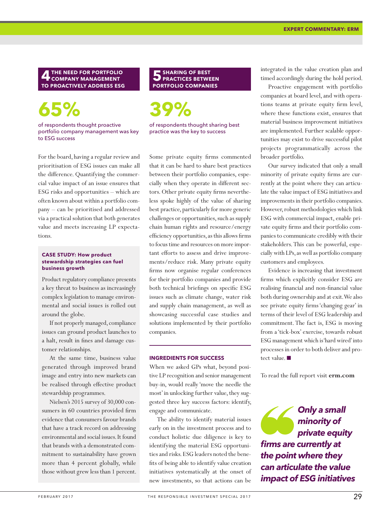**4THE NEED FOR PORTFOLIO COMPANY MANAGEMENT TO PROACTIVELY ADDRESS ESG**

# **65%**

of respondents thought proactive portfolio company management was key to ESG success

For the board, having a regular review and prioritisation of ESG issues can make all the difference. Quantifying the commercial value impact of an issue ensures that ESG risks and opportunities – which are often known about within a portfolio company – can be prioritised and addressed via a practical solution that both generates value and meets increasing LP expectations.

#### **CASE STUDY: How product stewardship strategies can fuel business growth**

Product regulatory compliance presents a key threat to business as increasingly complex legislation to manage environmental and social issues is rolled out around the globe.

If not properly managed, compliance issues can ground product launches to a halt, result in fines and damage customer relationships.

At the same time, business value generated through improved brand image and entry into new markets can be realised through effective product stewardship programmes.

Nielsen's 2015 survey of 30,000 consumers in 60 countries provided firm evidence that consumers favour brands that have a track record on addressing environmental and social issues. It found that brands with a demonstrated commitment to sustainability have grown more than 4 percent globally, while those without grew less than 1 percent.

### **5SHARING OF BEST PRACTICES BETWEEN PORTFOLIO COMPANIES**

**39%**

of respondents thought sharing best practice was the key to success

Some private equity firms commented that it can be hard to share best practices between their portfolio companies, especially when they operate in different sectors. Other private equity firms nevertheless spoke highly of the value of sharing best practice, particularly for more generic challenges or opportunities, such as supply chain human rights and resource/energy efficiency opportunities, as this allows firms to focus time and resources on more important efforts to assess and drive improvements/reduce risk. Many private equity firms now organise regular conferences for their portfolio companies and provide both technical briefings on specific ESG issues such as climate change, water risk and supply chain management, as well as showcasing successful case studies and solutions implemented by their portfolio companies.

#### **INGREDIENTS FOR SUCCESS**

When we asked GPs what, beyond positive LP recognition and senior management buy-in, would really 'move the needle the most' in unlocking further value, they suggested three key success factors: identify, engage and communicate.

The ability to identify material issues early on in the investment process and to conduct holistic due diligence is key to identifying the material ESG opportunities and risks. ESG leaders noted the benefits of being able to identify value creation initiatives systematically at the onset of new investments, so that actions can be

integrated in the value creation plan and timed accordingly during the hold period.

Proactive engagement with portfolio companies at board level, and with operations teams at private equity firm level, where these functions exist, ensures that material business improvement initiatives are implemented. Further scalable opportunities may exist to drive successful pilot projects programmatically across the broader portfolio.

Our survey indicated that only a small minority of private equity firms are currently at the point where they can articulate the value impact of ESG initiatives and improvements in their portfolio companies. However, robust methodologies which link ESG with commercial impact, enable private equity firms and their portfolio companies to communicate credibly with their stakeholders. This can be powerful, especially with LPs, as well as portfolio company customers and employees.

Evidence is increasing that investment firms which explicitly consider ESG are realising financial and non-financial value both during ownership and at exit. We also see private equity firms 'changing gear' in terms of their level of ESG leadership and commitment. The fact is, ESG is moving from a 'tick-box' exercise, towards robust ESG management which is 'hard wired' into processes in order to both deliver and protect value.  $\blacksquare$ 

To read the full report visit **erm.com**

*Only a small minority of private equity firms are currently at the point where they can articulate the value impact of ESG initiatives*